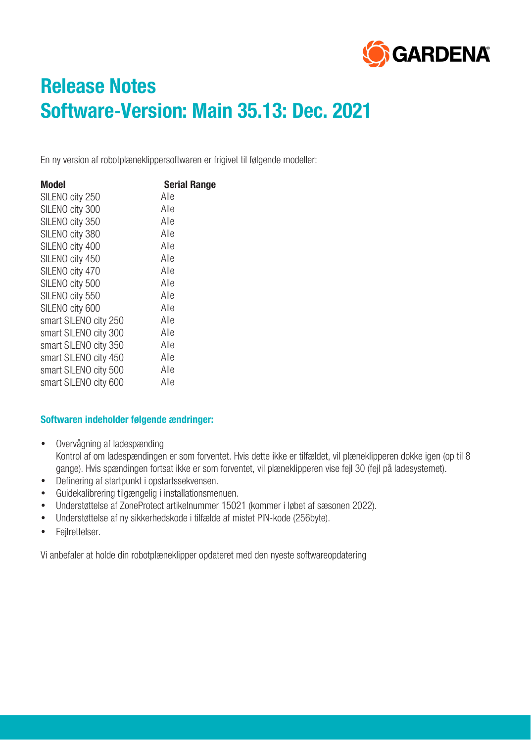

# **Release Notes Software-Version: Main 35.13: Dec. 2021**

En ny version af robotplæneklippersoftwaren er frigivet til følgende modeller:

| Model                 | <b>Serial Range</b> |
|-----------------------|---------------------|
| SILENO city 250       | Alle                |
| SILENO city 300       | Alle                |
| SILENO city 350       | Alle                |
| SILENO city 380       | Alle                |
| SILENO city 400       | Alle                |
| SILENO city 450       | Alle                |
| SILENO city 470       | Alle                |
| SILENO city 500       | Alle                |
| SILENO city 550       | Alle                |
| SILENO city 600       | Alle                |
| smart SILENO city 250 | Alle                |
| smart SILENO city 300 | Alle                |
| smart SILENO city 350 | Alle                |
| smart SILENO city 450 | Alle                |
| smart SILENO city 500 | Alle                |
| smart SILENO city 600 | Alle                |

### **Softwaren indeholder følgende ændringer:**

- Overvågning af ladespænding Kontrol af om ladespændingen er som forventet. Hvis dette ikke er tilfældet, vil plæneklipperen dokke igen (op til 8 gange). Hvis spændingen fortsat ikke er som forventet, vil plæneklipperen vise fejl 30 (fejl på ladesystemet).
- Definering af startpunkt i opstartssekvensen.
- Guidekalibrering tilgængelig i installationsmenuen.
- Understøttelse af ZoneProtect artikelnummer 15021 (kommer i løbet af sæsonen 2022).
- Understøttelse af ny sikkerhedskode i tilfælde af mistet PIN-kode (256byte).
- Fejlrettelser.

Vi anbefaler at holde din robotplæneklipper opdateret med den nyeste softwareopdatering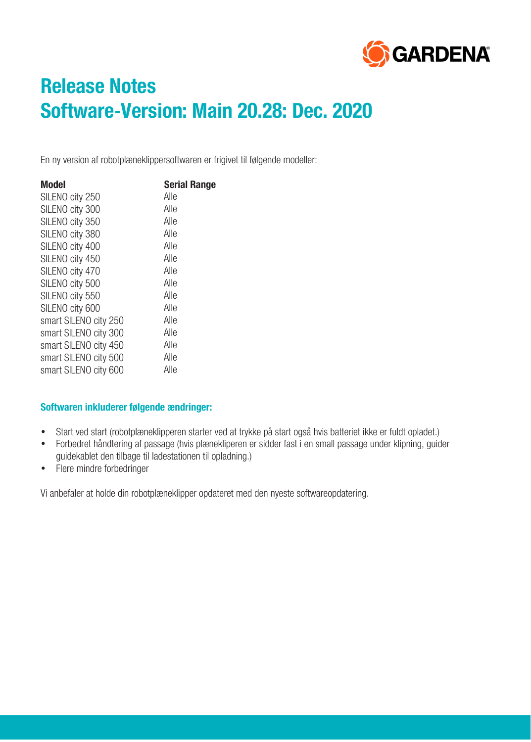

# **Release Notes Software-Version: Main 20.28: Dec. 2020**

En ny version af robotplæneklippersoftwaren er frigivet til følgende modeller:

| Model                 | <b>Serial Range</b> |
|-----------------------|---------------------|
| SILENO city 250       | Alle                |
| SILENO city 300       | Alle                |
| SILENO city 350       | Alle                |
| SILENO city 380       | Alle                |
| SILENO city 400       | Alle                |
| SILENO city 450       | Alle                |
| SILENO city 470       | Alle                |
| SILENO city 500       | Alle                |
| SILENO city 550       | Alle                |
| SILENO city 600       | Alle                |
| smart SILENO city 250 | Alle                |
| smart SILENO city 300 | Alle                |
| smart SILENO city 450 | Alle                |
| smart SILENO city 500 | Alle                |
| smart SILENO city 600 | Alle                |

### **Softwaren inkluderer følgende ændringer:**

- Start ved start (robotplæneklipperen starter ved at trykke på start også hvis batteriet ikke er fuldt opladet.)
- Forbedret håndtering af passage (hvis plænekliperen er sidder fast i en small passage under klipning, guider guidekablet den tilbage til ladestationen til opladning.)
- Flere mindre forbedringer

Vi anbefaler at holde din robotplæneklipper opdateret med den nyeste softwareopdatering.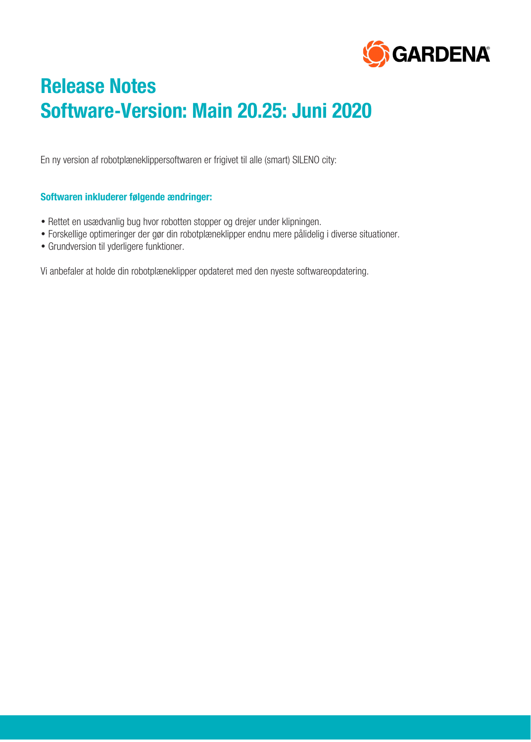

# **Release Notes Software-Version: Main 20.25: Juni 2020**

En ny version af robotplæneklippersoftwaren er frigivet til alle (smart) SILENO city:

### **Softwaren inkluderer følgende ændringer:**

- Rettet en usædvanlig bug hvor robotten stopper og drejer under klipningen.
- Forskellige optimeringer der gør din robotplæneklipper endnu mere pålidelig i diverse situationer.
- Grundversion til yderligere funktioner.

Vi anbefaler at holde din robotplæneklipper opdateret med den nyeste softwareopdatering.